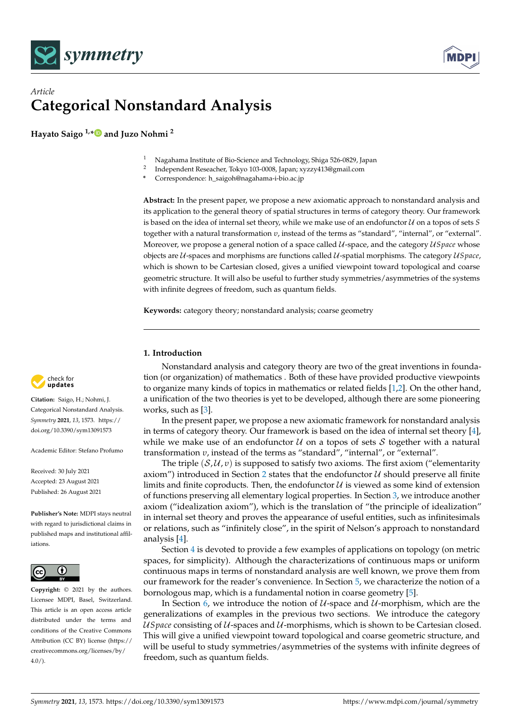



# *Article* **Categorical Nonstandard Analysis**

**Hayato Saigo 1,[\\*](https://orcid.org/0000-0002-4209-352X) and Juzo Nohmi <sup>2</sup>**

- <sup>1</sup> Nagahama Institute of Bio-Science and Technology, Shiga 526-0829, Japan
- 2 Independent Reseacher, Tokyo 103-0008, Japan; xyzzy413@gmail.com
- **\*** Correspondence: h\_saigoh@nagahama-i-bio.ac.jp

**Abstract:** In the present paper, we propose a new axiomatic approach to nonstandard analysis and its application to the general theory of spatial structures in terms of category theory. Our framework is based on the idea of internal set theory, while we make use of an endofunctor U on a topos of sets *S* together with a natural transformation *υ*, instead of the terms as "standard", "internal", or "external". Moreover, we propose a general notion of a space called U-space, and the category U*Space* whose objects are U-spaces and morphisms are functions called U-spatial morphisms. The category U*Space*, which is shown to be Cartesian closed, gives a unified viewpoint toward topological and coarse geometric structure. It will also be useful to further study symmetries/asymmetries of the systems with infinite degrees of freedom, such as quantum fields.

**Keywords:** category theory; nonstandard analysis; coarse geometry

## **1. Introduction**

Nonstandard analysis and category theory are two of the great inventions in foundation (or organization) of mathematics . Both of these have provided productive viewpoints to organize many kinds of topics in mathematics or related fields [\[1](#page-7-0)[,2\]](#page-7-1). On the other hand, a unification of the two theories is yet to be developed, although there are some pioneering works, such as [\[3\]](#page-7-2).

In the present paper, we propose a new axiomatic framework for nonstandard analysis in terms of category theory. Our framework is based on the idea of internal set theory [\[4\]](#page-7-3), while we make use of an endofunctor  $U$  on a topos of sets S together with a natural transformation *υ*, instead of the terms as "standard", "internal", or "external".

The triple  $(S, U, v)$  is supposed to satisfy two axioms. The first axiom ("elementarity") axiom") introduced in Section [2](#page-1-0) states that the endofunctor  $U$  should preserve all finite limits and finite coproducts. Then, the endofunctor  $U$  is viewed as some kind of extension of functions preserving all elementary logical properties. In Section [3,](#page-2-0) we introduce another axiom ("idealization axiom"), which is the translation of "the principle of idealization" in internal set theory and proves the appearance of useful entities, such as infinitesimals or relations, such as "infinitely close", in the spirit of Nelson's approach to nonstandard analysis [\[4\]](#page-7-3).

Section [4](#page-3-0) is devoted to provide a few examples of applications on topology (on metric spaces, for simplicity). Although the characterizations of continuous maps or uniform continuous maps in terms of nonstandard analysis are well known, we prove them from our framework for the reader's convenience. In Section [5,](#page-4-0) we characterize the notion of a bornologous map, which is a fundamental notion in coarse geometry [\[5\]](#page-8-0).

In Section [6,](#page-5-0) we introduce the notion of  $U$ -space and  $U$ -morphism, which are the generalizations of examples in the previous two sections. We introduce the category U*Space* consisting of U-spaces and U-morphisms, which is shown to be Cartesian closed. This will give a unified viewpoint toward topological and coarse geometric structure, and will be useful to study symmetries/asymmetries of the systems with infinite degrees of freedom, such as quantum fields.



**Citation:** Saigo, H.; Nohmi, J. Categorical Nonstandard Analysis. *Symmetry* **2021**, *13*, 1573. [https://](https://doi.org/10.3390/sym13091573) [doi.org/10.3390/sym13091573](https://doi.org/10.3390/sym13091573)

Academic Editor: Stefano Profumo

Received: 30 July 2021 Accepted: 23 August 2021 Published: 26 August 2021

**Publisher's Note:** MDPI stays neutral with regard to jurisdictional claims in published maps and institutional affiliations.



**Copyright:** © 2021 by the authors. Licensee MDPI, Basel, Switzerland. This article is an open access article distributed under the terms and conditions of the Creative Commons Attribution (CC BY) license (https:/[/](https://creativecommons.org/licenses/by/4.0/) [creativecommons.org/licenses/by/](https://creativecommons.org/licenses/by/4.0/)  $4.0/$ ).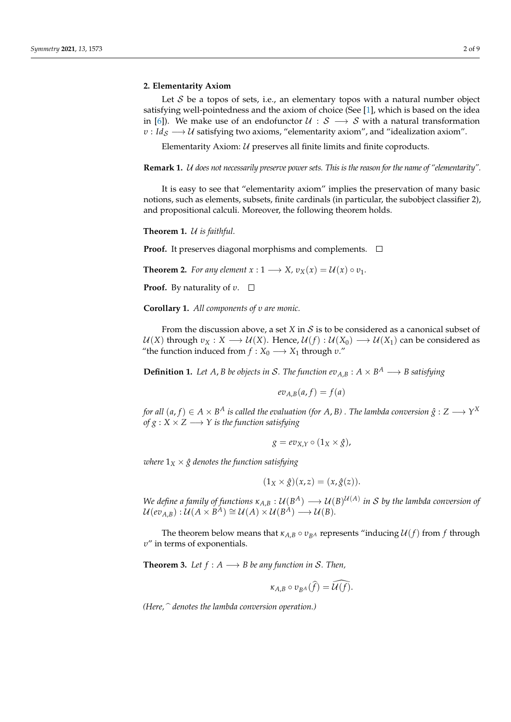#### <span id="page-1-0"></span>**2. Elementarity Axiom**

Let  $S$  be a topos of sets, i.e., an elementary topos with a natural number object satisfying well-pointedness and the axiom of choice (See [\[1\]](#page-7-0), which is based on the idea in [\[6\]](#page-8-1)). We make use of an endofunctor  $U : S \longrightarrow S$  with a natural transformation *<i>υ* : *Id<sub>S</sub>*  $\longrightarrow$  *U* satisfying two axioms, "elementarity axiom", and "idealization axiom".

Elementarity Axiom:  $U$  preserves all finite limits and finite coproducts.

**Remark 1.** U *does not necessarily preserve power sets. This is the reason for the name of "elementarity".*

It is easy to see that "elementarity axiom" implies the preservation of many basic notions, such as elements, subsets, finite cardinals (in particular, the subobject classifier 2), and propositional calculi. Moreover, the following theorem holds.

**Theorem 1.** U *is faithful.*

**Proof.** It preserves diagonal morphisms and complements.  $\Box$ 

**Theorem 2.** *For any element*  $x: 1 \longrightarrow X$ ,  $v_X(x) = U(x) \circ v_1$ .

**Proof.** By naturality of *v*. □

**Corollary 1.** *All components of υ are monic.*

From the discussion above, a set *X* in *S* is to be considered as a canonical subset of  $U(X)$  through  $v_X : X \longrightarrow U(X)$ . Hence,  $U(f) : U(X_0) \longrightarrow U(X_1)$  can be considered as "the function induced from  $f: X_0 \longrightarrow X_1$  through  $v$ ."

**Definition 1.** Let A, *B* be objects in S. The function  $ev_{A,B}: A \times B^A \longrightarrow B$  satisfying

$$
ev_{A,B}(a,f)=f(a)
$$

*for all*  $(a, f) \in A \times B^A$  *is called the evaluation (for*  $A$ *,*  $B$ *) . The lambda conversion*  $\hat{g}: Z \longrightarrow Y^X$ *of*  $g: X \times Z \longrightarrow Y$  *is the function satisfying* 

$$
g = ev_{X,Y} \circ (1_X \times \hat{g}),
$$

*where*  $1_X \times \hat{g}$  denotes the function satisfying

$$
(1_X \times \hat{g})(x, z) = (x, \hat{g}(z)).
$$

*We define a family of functions*  $\kappa_{A,B}: \mathcal{U}(B^A) \longrightarrow \mathcal{U}(B)^{\mathcal{U}(A)}$  *in S by the lambda conversion of*  $\mathcal{U}(ev_{A,B}) : \mathcal{U}(A \times B^A) \cong \mathcal{U}(A) \times \mathcal{U}(B^A) \longrightarrow \mathcal{U}(B).$ 

The theorem below means that  $\kappa_{A,B} \circ v_{BA}$  represents "inducing  $\mathcal{U}(f)$  from f through *υ*" in terms of exponentials.

**Theorem 3.** Let  $f : A \longrightarrow B$  be any function in S. Then,

$$
\kappa_{A,B}\circ v_{B^A}(\widehat{f})=\widehat{\mathcal{U}(f)}.
$$

*(Here,* <sup>b</sup> *denotes the lambda conversion operation.)*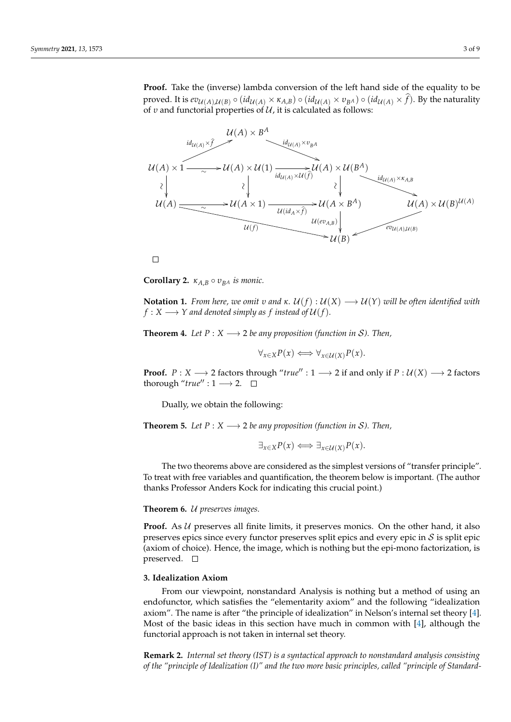**Proof.** Take the (inverse) lambda conversion of the left hand side of the equality to be proved. It is  $ev_{U(A),U(B)} \circ (id_{U(A)} \times \kappa_{A,B}) \circ (id_{U(A)} \times v_{BA}) \circ (id_{U(A)} \times \hat{f})$ . By the naturality of *v* and functorial properties of  $U$ , it is calculated as follows:



 $\Box$ 

**Corollary 2.**  $\kappa_{A,B} \circ v_{BA}$  *is monic.* 

**Notation 1.** *From here, we omit v and κ.*  $U(f)$  :  $U(X) \longrightarrow U(Y)$  *will be often identified with*  $f: X \longrightarrow Y$  and denoted simply as f instead of  $\mathcal{U}(f)$ .

**Theorem 4.** *Let*  $P: X \longrightarrow 2$  *be any proposition (function in S). Then,* 

$$
\forall_{x \in X} P(x) \Longleftrightarrow \forall_{x \in \mathcal{U}(X)} P(x).
$$

**Proof.**  $P: X \longrightarrow 2$  factors through "*true*" : 1  $\longrightarrow 2$  if and only if  $P: U(X) \longrightarrow 2$  factors thorough "*true*" :  $1 \rightarrow 2$ .  $\Box$ 

Dually, we obtain the following:

**Theorem 5.** *Let*  $P: X \longrightarrow 2$  *be any proposition (function in S). Then,* 

 $\exists_{x \in X} P(x) \Longleftrightarrow \exists_{x \in \mathcal{U}(X)} P(x).$ 

The two theorems above are considered as the simplest versions of "transfer principle". To treat with free variables and quantification, the theorem below is important. (The author thanks Professor Anders Kock for indicating this crucial point.)

## **Theorem 6.** U *preserves images.*

**Proof.** As  $U$  preserves all finite limits, it preserves monics. On the other hand, it also preserves epics since every functor preserves split epics and every epic in  $S$  is split epic (axiom of choice). Hence, the image, which is nothing but the epi-mono factorization, is preserved.  $\square$ 

## <span id="page-2-0"></span>**3. Idealization Axiom**

From our viewpoint, nonstandard Analysis is nothing but a method of using an endofunctor, which satisfies the "elementarity axiom" and the following "idealization axiom". The name is after "the principle of idealization" in Nelson's internal set theory [\[4\]](#page-7-3). Most of the basic ideas in this section have much in common with [\[4\]](#page-7-3), although the functorial approach is not taken in internal set theory.

**Remark 2.** *Internal set theory (IST) is a syntactical approach to nonstandard analysis consisting of the "principle of Idealization (I)" and the two more basic principles, called "principle of Standard-*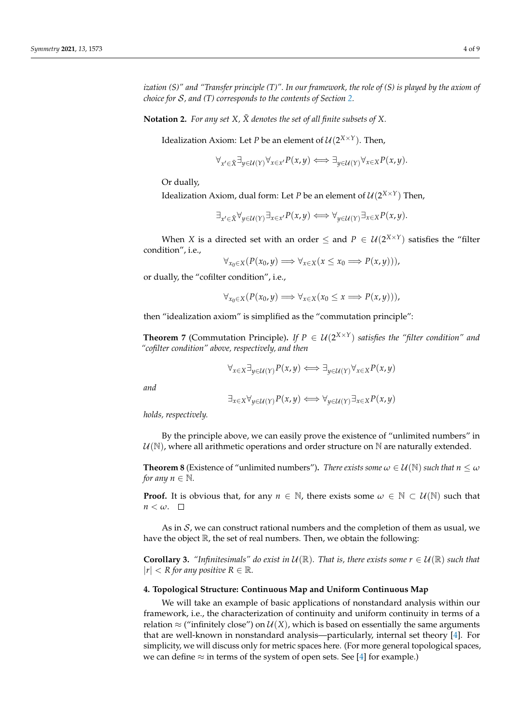**Notation 2.** For any set  $X$ ,  $\tilde{X}$  denotes the set of all finite subsets of  $X$ .

Idealization Axiom: Let *P* be an element of  $\mathcal{U}(2^{X \times Y})$ . Then,

$$
\forall_{x' \in \tilde{X}} \exists_{y \in \mathcal{U}(Y)} \forall_{x \in x'} P(x, y) \Longleftrightarrow \exists_{y \in \mathcal{U}(Y)} \forall_{x \in X} P(x, y).
$$

Or dually,

Idealization Axiom, dual form: Let *P* be an element of  $\mathcal{U}(2^{X \times Y})$  Then,

$$
\exists_{x' \in \tilde{X}} \forall_{y \in \mathcal{U}(Y)} \exists_{x \in x'} P(x, y) \iff \forall_{y \in \mathcal{U}(Y)} \exists_{x \in X} P(x, y).
$$

When *X* is a directed set with an order  $\leq$  and  $P \in \mathcal{U}(2^{X \times Y})$  satisfies the "filter condition", i.e.,

$$
\forall_{x_0 \in X} (P(x_0, y) \Longrightarrow \forall_{x \in X} (x \leq x_0 \Longrightarrow P(x, y))),
$$

or dually, the "cofilter condition", i.e.,

$$
\forall_{x_0 \in X} (P(x_0, y) \Longrightarrow \forall_{x \in X} (x_0 \leq x \Longrightarrow P(x, y))),
$$

then "idealization axiom" is simplified as the "commutation principle":

**Theorem 7** (Commutation Principle). If  $P \in \mathcal{U}(2^{X \times Y})$  satisfies the "filter condition" and *"cofilter condition" above, respectively, and then*

$$
\forall_{x \in X} \exists_{y \in \mathcal{U}(Y)} P(x, y) \Longleftrightarrow \exists_{y \in \mathcal{U}(Y)} \forall_{x \in X} P(x, y)
$$

*and*

$$
\exists_{x \in X} \forall_{y \in \mathcal{U}(Y)} P(x, y) \Longleftrightarrow \forall_{y \in \mathcal{U}(Y)} \exists_{x \in X} P(x, y)
$$

*holds, respectively.*

By the principle above, we can easily prove the existence of "unlimited numbers" in  $U(N)$ , where all arithmetic operations and order structure on N are naturally extended.

**Theorem 8** (Existence of "unlimited numbers"). *There exists some*  $\omega \in \mathcal{U}(\mathbb{N})$  *such that*  $n \leq \omega$ *for any n*  $\in \mathbb{N}$ *.* 

**Proof.** It is obvious that, for any  $n \in \mathbb{N}$ , there exists some  $\omega \in \mathbb{N} \subset \mathcal{U}(\mathbb{N})$  such that  $n < \omega$ .  $\Box$ 

As in  $S$ , we can construct rational numbers and the completion of them as usual, we have the object  $\mathbb R$ , the set of real numbers. Then, we obtain the following:

**Corollary 3.** *"Infinitesimals" do exist in*  $\mathcal{U}(\mathbb{R})$ *. That is, there exists some*  $r \in \mathcal{U}(\mathbb{R})$  *such that*  $|r| < R$  for any positive  $R \in \mathbb{R}$ .

## <span id="page-3-0"></span>**4. Topological Structure: Continuous Map and Uniform Continuous Map**

We will take an example of basic applications of nonstandard analysis within our framework, i.e., the characterization of continuity and uniform continuity in terms of a relation  $\approx$  ("infinitely close") on  $\mathcal{U}(X)$ , which is based on essentially the same arguments that are well-known in nonstandard analysis—particularly, internal set theory [\[4\]](#page-7-3). For simplicity, we will discuss only for metric spaces here. (For more general topological spaces, we can define  $\approx$  in terms of the system of open sets. See [\[4\]](#page-7-3) for example.)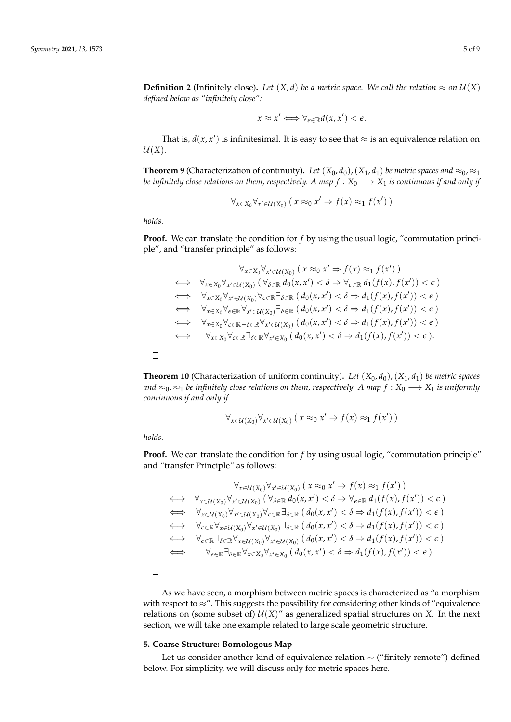**Definition 2** (Infinitely close). Let  $(X, d)$  be a metric space. We call the relation  $\approx$  on  $U(X)$ *defined below as "infinitely close":*

$$
x \approx x' \Longleftrightarrow \forall_{\epsilon \in \mathbb{R}} d(x, x') < \epsilon.
$$

That is,  $d(x, x')$  is infinitesimal. It is easy to see that  $\approx$  is an equivalence relation on  $U(X)$ .

**Theorem 9** (Characterization of continuity). Let  $(X_0, d_0)$ ,  $(X_1, d_1)$  be metric spaces and  $\approx_0$ ,  $\approx_1$ *be infinitely close relations on them, respectively. A map*  $f : X_0 \longrightarrow X_1$  *is continuous if and only if* 

$$
\forall_{x \in X_0} \forall_{x' \in \mathcal{U}(X_0)} (x \approx_0 x' \Rightarrow f(x) \approx_1 f(x'))
$$

*holds.*

**Proof.** We can translate the condition for *f* by using the usual logic, "commutation principle", and "transfer principle" as follows:

∀*x*

$$
\forall_{x \in X_0} \forall_{x' \in U(X_0)} (x \approx_0 x' \Rightarrow f(x) \approx_1 f(x'))
$$
  
\n
$$
\iff \forall_{x \in X_0} \forall_{x' \in U(X_0)} (\forall_{\delta \in \mathbb{R}} d_0(x, x') < \delta \Rightarrow \forall_{\epsilon \in \mathbb{R}} d_1(f(x), f(x')) < \epsilon)
$$
  
\n
$$
\iff \forall_{x \in X_0} \forall_{x' \in U(X_0)} \forall_{\epsilon \in \mathbb{R}} \exists_{\delta \in \mathbb{R}} (d_0(x, x') < \delta \Rightarrow d_1(f(x), f(x')) < \epsilon)
$$
  
\n
$$
\iff \forall_{x \in X_0} \forall_{\epsilon \in \mathbb{R}} \forall_{x' \in U(X_0)} \exists_{\delta \in \mathbb{R}} (d_0(x, x') < \delta \Rightarrow d_1(f(x), f(x')) < \epsilon)
$$
  
\n
$$
\iff \forall_{x \in X_0} \forall_{\epsilon \in \mathbb{R}} \exists_{\delta \in \mathbb{R}} \forall_{x' \in U(X_0)} (d_0(x, x') < \delta \Rightarrow d_1(f(x), f(x')) < \epsilon)
$$
  
\n
$$
\iff \forall_{x \in X_0} \forall_{\epsilon \in \mathbb{R}} \exists_{\delta \in \mathbb{R}} \forall_{x' \in X_0} (d_0(x, x') < \delta \Rightarrow d_1(f(x), f(x')) < \epsilon).
$$

 $\Box$ 

**Theorem 10** (Characterization of uniform continuity). Let  $(X_0, d_0)$ ,  $(X_1, d_1)$  be metric spaces *and*  $≈_0, ≈_1$  *be infinitely close relations on them, respectively. A map*  $f : X_0 \longrightarrow X_1$  *is uniformly continuous if and only if*

$$
\forall_{x \in \mathcal{U}(X_0)} \forall_{x' \in \mathcal{U}(X_0)} (x \approx_0 x' \Rightarrow f(x) \approx_1 f(x'))
$$

*holds.*

**Proof.** We can translate the condition for *f* by using usual logic, "commutation principle" and "transfer Principle" as follows:

$$
\forall_{x \in \mathcal{U}(X_0)} \forall_{x' \in \mathcal{U}(X_0)} (x \approx_0 x' \Rightarrow f(x) \approx_1 f(x'))
$$
  
\n
$$
\iff \forall_{x \in \mathcal{U}(X_0)} \forall_{x' \in \mathcal{U}(X_0)} (\forall_{\delta \in \mathbb{R}} d_0(x, x') < \delta \Rightarrow \forall_{\epsilon \in \mathbb{R}} d_1(f(x), f(x')) < \epsilon)
$$
  
\n
$$
\iff \forall_{x \in \mathcal{U}(X_0)} \forall_{x' \in \mathcal{U}(X_0)} \forall_{\epsilon \in \mathbb{R}} \exists_{\delta \in \mathbb{R}} (d_0(x, x') < \delta \Rightarrow d_1(f(x), f(x')) < \epsilon)
$$
  
\n
$$
\iff \forall_{\epsilon \in \mathbb{R}} \forall_{x \in \mathcal{U}(X_0)} \forall_{x' \in \mathcal{U}(X_0)} \exists_{\delta \in \mathbb{R}} (d_0(x, x') < \delta \Rightarrow d_1(f(x), f(x')) < \epsilon)
$$
  
\n
$$
\iff \forall_{\epsilon \in \mathbb{R}} \exists_{\delta \in \mathbb{R}} \forall_{x \in \mathcal{U}(X_0)} \forall_{x' \in \mathcal{U}(X_0)} (d_0(x, x') < \delta \Rightarrow d_1(f(x), f(x')) < \epsilon)
$$
  
\n
$$
\iff \forall_{\epsilon \in \mathbb{R}} \exists_{\delta \in \mathbb{R}} \forall_{x \in X_0} \forall_{x' \in X_0} (d_0(x, x') < \delta \Rightarrow d_1(f(x), f(x')) < \epsilon).
$$

 $\Box$ 

As we have seen, a morphism between metric spaces is characterized as "a morphism with respect to ≈". This suggests the possibility for considering other kinds of "equivalence relations on (some subset of)  $U(X)$ " as generalized spatial structures on *X*. In the next section, we will take one example related to large scale geometric structure.

#### <span id="page-4-0"></span>**5. Coarse Structure: Bornologous Map**

Let us consider another kind of equivalence relation ∼ ("finitely remote") defined below. For simplicity, we will discuss only for metric spaces here.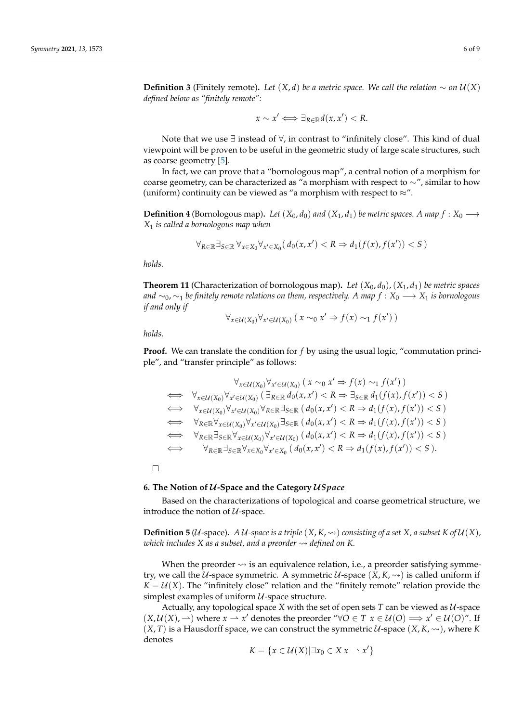**Definition 3** (Finitely remote). Let  $(X, d)$  be a metric space. We call the relation ∼ on  $U(X)$ *defined below as "finitely remote":*

$$
x \sim x' \Longleftrightarrow \exists_{R \in \mathbb{R}} d(x, x') < R.
$$

Note that we use ∃ instead of ∀, in contrast to "infinitely close". This kind of dual viewpoint will be proven to be useful in the geometric study of large scale structures, such as coarse geometry [\[5\]](#page-8-0).

In fact, we can prove that a "bornologous map", a central notion of a morphism for coarse geometry, can be characterized as "a morphism with respect to ∼", similar to how (uniform) continuity can be viewed as "a morphism with respect to  $\approx$ ".

**Definition 4** (Bornologous map). Let  $(X_0, d_0)$  and  $(X_1, d_1)$  be metric spaces. A map  $f : X_0 \longrightarrow$ *X*<sup>1</sup> *is called a bornologous map when*

$$
\forall_{R \in \mathbb{R}} \exists_{S \in \mathbb{R}} \forall_{x \in X_0} \forall_{x' \in X_0} (d_0(x, x') < R \Rightarrow d_1(f(x), f(x')) < S)
$$

*holds.*

**Theorem 11** (Characterization of bornologous map). Let  $(X_0, d_0)$ ,  $(X_1, d_1)$  be metric spaces *and*  $∼_0$ ,  $∼_1$  *be finitely remote relations on them, respectively. A map*  $f : X_0 \longrightarrow X_1$  *is bornologous if and only if*

$$
\forall_{x \in \mathcal{U}(X_0)} \forall_{x' \in \mathcal{U}(X_0)} (x \sim_0 x' \Rightarrow f(x) \sim_1 f(x'))
$$

*holds.*

**Proof.** We can translate the condition for *f* by using the usual logic, "commutation principle", and "transfer principle" as follows:

$$
\forall_{x \in \mathcal{U}(X_0)} \forall_{x' \in \mathcal{U}(X_0)} (x \sim_0 x' \Rightarrow f(x) \sim_1 f(x'))
$$
  
\n
$$
\iff \forall_{x \in \mathcal{U}(X_0)} \forall_{x' \in \mathcal{U}(X_0)} (\exists_{R \in \mathbb{R}} d_0(x, x') < R \Rightarrow \exists_{S \in \mathbb{R}} d_1(f(x), f(x')) < S)
$$
  
\n
$$
\iff \forall_{x \in \mathcal{U}(X_0)} \forall_{x' \in \mathcal{U}(X_0)} \forall_{R \in \mathbb{R}} \exists_{S \in \mathbb{R}} (d_0(x, x') < R \Rightarrow d_1(f(x), f(x')) < S)
$$
  
\n
$$
\iff \forall_{R \in \mathbb{R}} \forall_{x \in \mathcal{U}(X_0)} \forall_{x' \in \mathcal{U}(X_0)} \exists_{S \in \mathbb{R}} (d_0(x, x') < R \Rightarrow d_1(f(x), f(x')) < S)
$$
  
\n
$$
\iff \forall_{R \in \mathbb{R}} \exists_{S \in \mathbb{R}} \forall_{x \in \mathcal{U}(X_0)} \forall_{x' \in \mathcal{U}(X_0)} (d_0(x, x') < R \Rightarrow d_1(f(x), f(x')) < S)
$$
  
\n
$$
\iff \forall_{R \in \mathbb{R}} \exists_{S \in \mathbb{R}} \forall_{x \in X_0} \forall_{x' \in X_0} (d_0(x, x') < R \Rightarrow d_1(f(x), f(x')) < S).
$$

 $\Box$ 

#### <span id="page-5-0"></span>**6. The Notion of** U**-Space and the Category** U*Space*

Based on the characterizations of topological and coarse geometrical structure, we introduce the notion of  $U$ -space.

**Definition 5** ( $U$ -space). A  $U$ -space is a triple  $(X, K, \leadsto)$  consisting of a set  $X$ , a subset  $K$  of  $U(X)$ , *which includes*  $X$  as a subset, and a preorder  $\rightsquigarrow$  defined on K.

When the preorder  $\rightsquigarrow$  is an equivalence relation, i.e., a preorder satisfying symmetry, we call the *U*-space symmetric. A symmetric *U*-space  $(X, K, \leadsto)$  is called uniform if  $K = U(X)$ . The "infinitely close" relation and the "finitely remote" relation provide the simplest examples of uniform  $U$ -space structure.

Actually, any topological space  $X$  with the set of open sets  $T$  can be viewed as  $U$ -space  $(X, \mathcal{U}(X), \rightarrow)$  where  $x \rightarrow x'$  denotes the preorder " $\forall O \in T$   $x \in \mathcal{U}(O) \implies x' \in \mathcal{U}(O)$ ". If  $(X, T)$  is a Hausdorff space, we can construct the symmetric U-space  $(X, K, \leadsto)$ , where *K* denotes

$$
K = \{x \in \mathcal{U}(X) | \exists x_0 \in X \, x \to x'\}
$$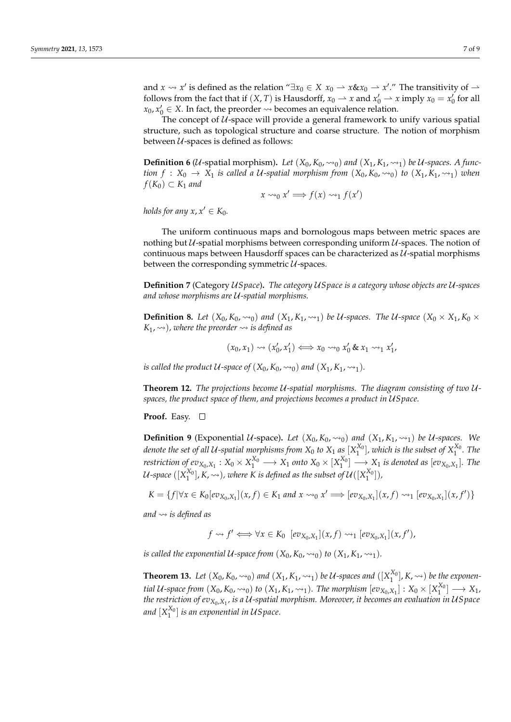and  $x \rightsquigarrow x'$  is defined as the relation " $\exists x_0 \in X \ x_0 \rightarrow x \& x_0 \rightarrow x'.$ " The transitivity of  $\rightarrow$ follows from the fact that if  $(X, T)$  is Hausdorff,  $x_0 \rightharpoonup x$  and  $x'_0 \rightharpoonup x$  imply  $x_0 = x'_0$  for all  $x_0, x'_0 \in X$ . In fact, the preorder  $\leadsto$  becomes an equivalence relation.

The concept of  $U$ -space will provide a general framework to unify various spatial structure, such as topological structure and coarse structure. The notion of morphism between  $U$ -spaces is defined as follows:

**Definition 6** (*U*-spatial morphism). Let  $(X_0, K_0, \leadsto_0)$  and  $(X_1, K_1, \leadsto_1)$  be *U*-spaces. A func*tion*  $f: X_0 \to X_1$  *is called a U-spatial morphism from*  $(X_0, K_0, \leadsto_0)$  *to*  $(X_1, K_1, \leadsto_1)$  *when*  $f(K_0)$  ⊂  $K_1$  *and* 

$$
x \rightsquigarrow_0 x' \Longrightarrow f(x) \rightsquigarrow_1 f(x')
$$

*holds for any*  $x, x' \in K_0$ .

The uniform continuous maps and bornologous maps between metric spaces are nothing but  $U$ -spatial morphisms between corresponding uniform  $U$ -spaces. The notion of continuous maps between Hausdorff spaces can be characterized as  $U$ -spatial morphisms between the corresponding symmetric  $U$ -spaces.

**Definition 7** (Category U*Space*)**.** *The category* U*Space is a category whose objects are* U*-spaces and whose morphisms are* U*-spatial morphisms.*

**Definition 8.** Let  $(X_0, K_0, \leadsto_0)$  and  $(X_1, K_1, \leadsto_1)$  be U-spaces. The U-space  $(X_0 \times X_1, K_0 \times$  $K_1$ ,  $\rightsquigarrow$ ), where the preorder  $\rightsquigarrow$  is defined as

$$
(x_0, x_1) \rightsquigarrow (x'_0, x'_1) \Longleftrightarrow x_0 \rightsquigarrow_0 x'_0 \& x_1 \rightsquigarrow_1 x'_1,
$$

*is called the product*  $U$ -space of  $(X_0, K_0, \leadsto_0)$  and  $(X_1, K_1, \leadsto_1)$ *.* 

**Theorem 12.** *The projections become* U*-spatial morphisms. The diagram consisting of two* U*spaces, the product space of them, and projections becomes a product in* U*Space.*

**Proof.** Easy.

**Definition 9** (Exponential U-space). Let  $(X_0, K_0, \leadsto_0)$  and  $(X_1, K_1, \leadsto_1)$  be U-spaces. We *denote the set of all U-spatial morphisms from*  $X_0$  *to*  $X_1$  *as*  $[X_1^{X_0}]$ *, which is the subset of*  $X_1^{X_0}$ *. The*  $\alpha$  *restriction of*  $ev_{X_0,X_1}: X_0 \times X_1^{X_0} \longrightarrow X_1$  *onto*  $X_0 \times [X_1^{X_0}] \longrightarrow X_1$  *is denoted as*  $[ev_{X_0,X_1}]$ *. The* U-space  $([X_1^{X_0}], K, \rightsquigarrow)$  , where K is defined as the subset of  $\mathcal{U}([X_1^{X_0}])$  ,

 $K = \{f | \forall x \in K_0[ev_{X_0,X_1}](x,f) \in K_1 \text{ and } x \rightarrow 0 \text{ } x' \Longrightarrow [ev_{X_0,X_1}](x,f) \rightarrow 1 [ev_{X_0,X_1}](x,f') \}$ 

*and is defined as*

$$
f \rightsquigarrow f' \Longleftrightarrow \forall x \in K_0 \ [ev_{X_0,X_1}](x,f) \rightsquigarrow_1 [ev_{X_0,X_1}](x,f'),
$$

*is called the exponential*  $U$ -space from  $(X_0, K_0, \rightsquigarrow_0)$  *to*  $(X_1, K_1, \rightsquigarrow_1)$ *.* 

**Theorem 13.** Let  $(X_0, K_0, \leadsto_0)$  and  $(X_1, K_1, \leadsto_1)$  be U-spaces and  $([X_1^{X_0}], K, \leadsto)$  be the exponen*tial* U-space from  $(X_0, K_0, \leadsto_0)$  to  $(X_1, K_1, \leadsto_1)$ . The morphism  $[ev_{X_0, X_1}] : X_0 \times [X_1^{X_0}] \longrightarrow X_1$ , *the restriction of evX*0,*X*<sup>1</sup> *, is a* U*-spatial morphism. Moreover, it becomes an evaluation in* U*Space* and  $[X_1^{X_0}]$  is an exponential in US pace.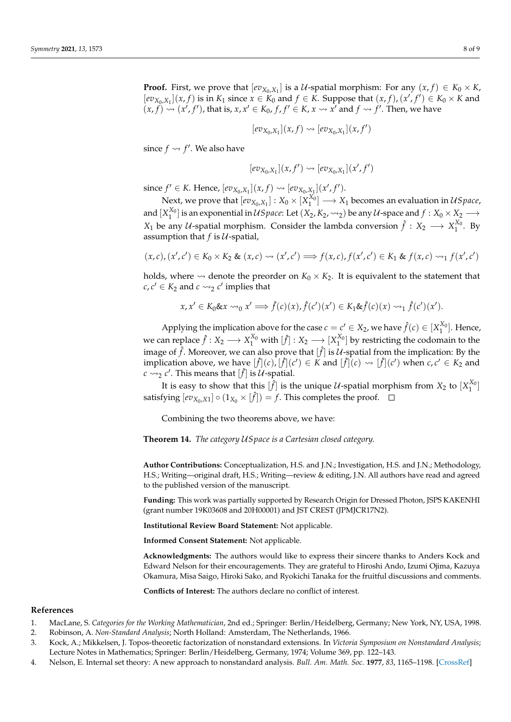**Proof.** First, we prove that  $[ev_{X_0,X_1}]$  is a  $U$ -spatial morphism: For any  $(x, f) \in K_0 \times K$ ,  $[ev_{X_0,X_1}](x, f)$  is in  $K_1$  since  $x \in K_0$  and  $f \in K$ . Suppose that  $(x, f), (x', f') \in K_0 \times K$  and  $(x, f) \rightsquigarrow (x', f'),$  that is,  $x, x' \in K_0$ ,  $f, f' \in K$ ,  $x \rightsquigarrow x'$  and  $f \rightsquigarrow f'.$  Then, we have

$$
[ev_{X_0,X_1}](x,f) \leadsto [ev_{X_0,X_1}](x,f')
$$

since  $f \rightsquigarrow f'$ . We also have

$$
[ev_{X_0,X_1}](x,f') \rightsquigarrow [ev_{X_0,X_1}](x',f')
$$

since  $f' \in K$ . Hence,  $[ev_{X_0, X_1}](x, f) \rightsquigarrow [ev_{X_0, X_1}](x', f').$ 

Next, we prove that  $[ev_{X_0,X_1}] : X_0 \times [X_1^{X_0}] \longrightarrow X_1$  becomes an evaluation in US pace, and  $[X_1^{X_0}]$  is an exponential in  $USpace$ : Let  $(X_2, K_2, \rightsquigarrow_2)$  be any  $\mathcal U$ -space and  $f: X_0 \times X_2 \longrightarrow$ *X*<sub>1</sub> be any *U*-spatial morphism. Consider the lambda conversion  $\hat{f} : X_2 \longrightarrow X_1^{X_0}$ . By assumption that  $f$  is  $U$ -spatial,

$$
(x,c),(x',c')\in K_0\times K_2\& (x,c)\leadsto (x',c')\Longrightarrow f(x,c),f(x',c')\in K_1\& f(x,c)\leadsto_1 f(x',c')
$$

holds, where  $\rightsquigarrow$  denote the preorder on  $K_0 \times K_2$ . It is equivalent to the statement that  $c, c' \in K_2$  and  $c \rightarrow z$  *c*' implies that

$$
x, x' \in K_0 \& x \rightsquigarrow_0 x' \Longrightarrow \hat{f}(c)(x), \hat{f}(c')(x') \in K_1 \& \hat{f}(c)(x) \rightsquigarrow_1 \hat{f}(c')(x').
$$

Applying the implication above for the case  $c = c' \in X_2$ , we have  $\hat{f}(c) \in [X_1^{X_0}]$ . Hence, we can replace  $\hat{f}: X_2 \longrightarrow X_1^{X_0}$  with  $[\hat{f}]: X_2 \longrightarrow [X_1^{X_0}]$  by restricting the codomain to the image of  $\hat{f}$ . Moreover, we can also prove that  $[\hat{f}]$  is  $\mathcal{U}$ -spatial from the implication: By the implication above, we have  $[f](c)$ ,  $[f](c') \in K$  and  $[f](c) \rightsquigarrow [f](c')$  when  $c, c' \in K_2$  and  $c \rightarrow 2$   $c'$ . This means that  $[\hat{f}]$  is  $\hat{U}$ -spatial.

It is easy to show that this  $[\hat{f}]$  is the unique  $\mathcal{U}$ -spatial morphism from  $X_2$  to  $[X_1^{X_0}]$ satisfying  $[ev_{X_0,X1}] \circ (1_{X_0} \times [\hat{f}]) = f$ . This completes the proof.

Combining the two theorems above, we have:

**Theorem 14.** *The category* U*Space is a Cartesian closed category.*

**Author Contributions:** Conceptualization, H.S. and J.N.; Investigation, H.S. and J.N.; Methodology, H.S.; Writing—original draft, H.S.; Writing—review & editing, J.N. All authors have read and agreed to the published version of the manuscript.

**Funding:** This work was partially supported by Research Origin for Dressed Photon, JSPS KAKENHI (grant number 19K03608 and 20H00001) and JST CREST (JPMJCR17N2).

**Institutional Review Board Statement:** Not applicable.

**Informed Consent Statement:** Not applicable.

**Acknowledgments:** The authors would like to express their sincere thanks to Anders Kock and Edward Nelson for their encouragements. They are grateful to Hiroshi Ando, Izumi Ojima, Kazuya Okamura, Misa Saigo, Hiroki Sako, and Ryokichi Tanaka for the fruitful discussions and comments.

**Conflicts of Interest:** The authors declare no conflict of interest.

#### **References**

- <span id="page-7-0"></span>1. MacLane, S. *Categories for the Working Mathematician*, 2nd ed.; Springer: Berlin/Heidelberg, Germany; New York, NY, USA, 1998.
- <span id="page-7-1"></span>2. Robinson, A. *Non-Standard Analysis*; North Holland: Amsterdam, The Netherlands, 1966.
- <span id="page-7-2"></span>3. Kock, A.; Mikkelsen, J. Topos-theoretic factorization of nonstandard extensions. In *Victoria Symposium on Nonstandard Analysis*; Lecture Notes in Mathematics; Springer: Berlin/Heidelberg, Germany, 1974; Volume 369, pp. 122–143.
- <span id="page-7-3"></span>4. Nelson, E. Internal set theory: A new approach to nonstandard analysis. *Bull. Am. Math. Soc.* **1977**, *83*, 1165–1198. [\[CrossRef\]](http://doi.org/10.1090/S0002-9904-1977-14398-X)